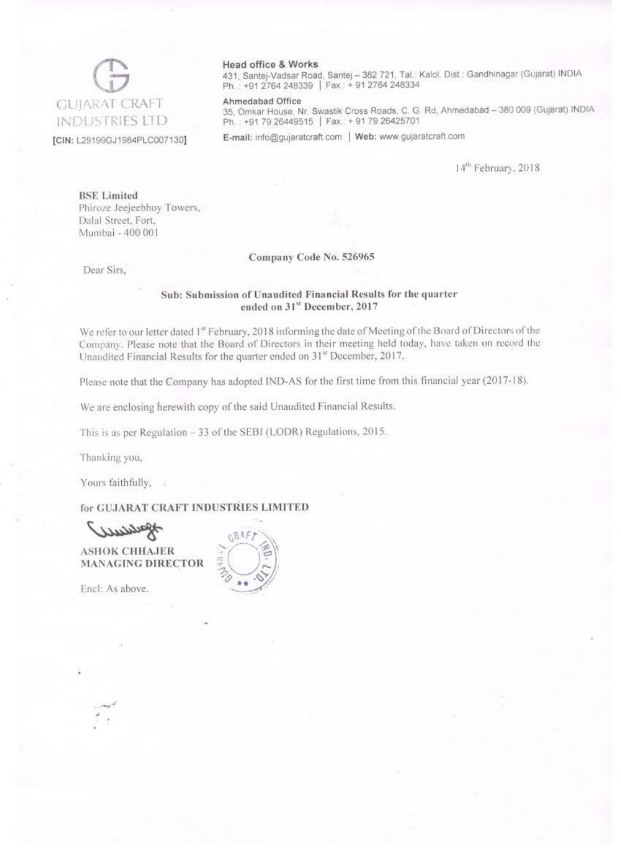## **GUJARAT CRAFT INDUSTRIES LTD**

#### [CIN: L29199GJ1984PLC007130]

#### Head office & Works

431, Santej-Vadsar Road, Santej - 382 721, Tal.: Kalol, Dist.: Gandhinagar (Gujarat) INDIA Ph.: +91 2764 248339 | Fax: +91 2764 248334

#### Ahmedabad Office

35, Omkar House, Nr. Swastik Cross Roads, C. G. Rd, Ahmedabad - 380 009 (Gujarat) INDIA Ph.: +91 79 26449515 | Fax.: + 91 79 26425701

E-mail: info@gujaratcraft.com | Web: www.gujaratcraft.com

14<sup>th</sup> February, 2018

**BSE** Limited Phiroze Jeejeebhoy Towers, Dalal Street, Fort, Mumbai - 400 001

#### Company Code No. 526965

Dear Sirs,

#### Sub: Submission of Unaudited Financial Results for the quarter ended on 31st December, 2017

We refer to our letter dated 1st February, 2018 informing the date of Meeting of the Board of Directors of the Company. Please note that the Board of Directors in their meeting held today, have taken on record the Unaudited Financial Results for the quarter ended on 31<sup>st</sup> December, 2017.

Please note that the Company has adopted IND-AS for the first time from this financial year (2017-18).

We are enclosing herewith copy of the said Unaudited Financial Results.

This is as per Regulation - 33 of the SEBI (LODR) Regulations, 2015.

Thanking you,

Yours faithfully, .

### for GUJARAT CRAFT INDUSTRIES LIMITED

**ASHOK CHHAJER MANAGING DIRECTOR** 

Encl: As above.

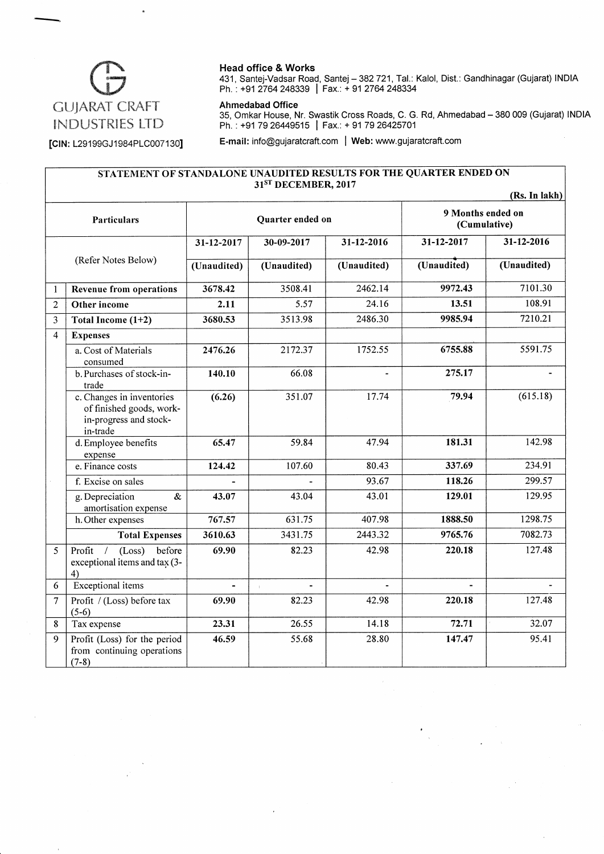

#### Head office & Works

431, Santej-Vadsar Road, Santej - 382721, Tal.: Kalol, Dist.: Gandhinagar (Gujarat) INDIA Ph. : +91 2764 248339 | Fax.: + 91 2764 248334

#### Ahmedabad Office

35, Omkar House, Nr. Swastik Cross Roads, C. G. Rd, Ahmedabad – 380 009 (Gujarat) INDIA<br>Ph. : +91 79 26449515 <mark>│</mark> Fax.: + 91 79 26425701

[CIN: L29199GJ1984PLC007130] E-mail: info@gujaratcraft.com | Web: www.gujaratcraft.com

#### STATEMENT OF STANDALONE UNAUDITED RESULTS FOR THE QUARTER ENDED ON 31<sup>ST</sup> DECEMBER, 2017

|                         |                                                                                             |                |                  |                |                                   | (RS. In lakh) |
|-------------------------|---------------------------------------------------------------------------------------------|----------------|------------------|----------------|-----------------------------------|---------------|
|                         | Particulars                                                                                 |                | Quarter ended on |                | 9 Months ended on<br>(Cumulative) |               |
|                         |                                                                                             | 31-12-2017     | 30-09-2017       | 31-12-2016     | 31-12-2017                        | 31-12-2016    |
|                         | (Refer Notes Below)                                                                         | (Unaudited)    | (Unaudited)      | (Unaudited)    | (Unaudited)                       | (Unaudited)   |
| 1                       | Revenue from operations                                                                     | 3678.42        | 3508.41          | 2462.14        | 9972.43                           | 7101.30       |
| $\overline{2}$          | Other income                                                                                | 2.11           | 5.57             | 24.16          | 13.51                             | 108.91        |
| 3                       | Total Income (1+2)                                                                          | 3680.53        | 3513.98          | 2486.30        | 9985.94                           | 7210.21       |
| $\overline{\mathbf{4}}$ | <b>Expenses</b>                                                                             |                |                  |                |                                   |               |
|                         | a. Cost of Materials<br>consumed                                                            | 2476.26        | 2172.37          | 1752.55        | 6755.88                           | 5591.75       |
|                         | b. Purchases of stock-in-<br>trade                                                          | 140.10         | 66.08            | $\blacksquare$ | 275.17                            |               |
|                         | c. Changes in inventories<br>of finished goods, work-<br>in-progress and stock-<br>in-trade | (6.26)         | 351.07           | 17.74          | 79.94                             | (615.18)      |
|                         | d. Employee benefits<br>expense                                                             | 65.47          | 59.84            | 47.94          | 181.31                            | 142.98        |
|                         | e. Finance costs                                                                            | 124.42         | 107.60           | 80.43          | 337.69                            | 234.91        |
|                         | f. Excise on sales                                                                          |                |                  | 93.67          | 118.26                            | 299.57        |
|                         | $\&$<br>g. Depreciation<br>amortisation expense                                             | 43.07          | 43.04            | 43.01          | 129.01                            | 129.95        |
|                         | h. Other expenses                                                                           | 767.57         | 631.75           | 407.98         | 1888.50                           | 1298.75       |
|                         | <b>Total Expenses</b>                                                                       | 3610.63        | 3431.75          | 2443.32        | 9765.76                           | 7082.73       |
| 5                       | before<br>(Loss)<br>Profit<br>exceptional items and tax (3-<br>4)                           | 69.90          | 82.23            | 42.98          | 220.18                            | 127.48        |
| 6                       | Exceptional items                                                                           | $\blacksquare$ | $\blacksquare$   | $\blacksquare$ | $\blacksquare$                    |               |
| $\overline{7}$          | Profit / (Loss) before tax<br>$(5-6)$                                                       | 69.90          | 82.23            | 42.98          | 220.18                            | 127.48        |
| 8                       | Tax expense                                                                                 | 23.31          | 26.55            | 14.18          | 72.71                             | 32.07         |
| 9                       | Profit (Loss) for the period<br>from continuing operations<br>$(7-8)$                       | 46.59          | 55.68            | 28.80          | 147.47                            | 95.41         |

(Rs.In lakh)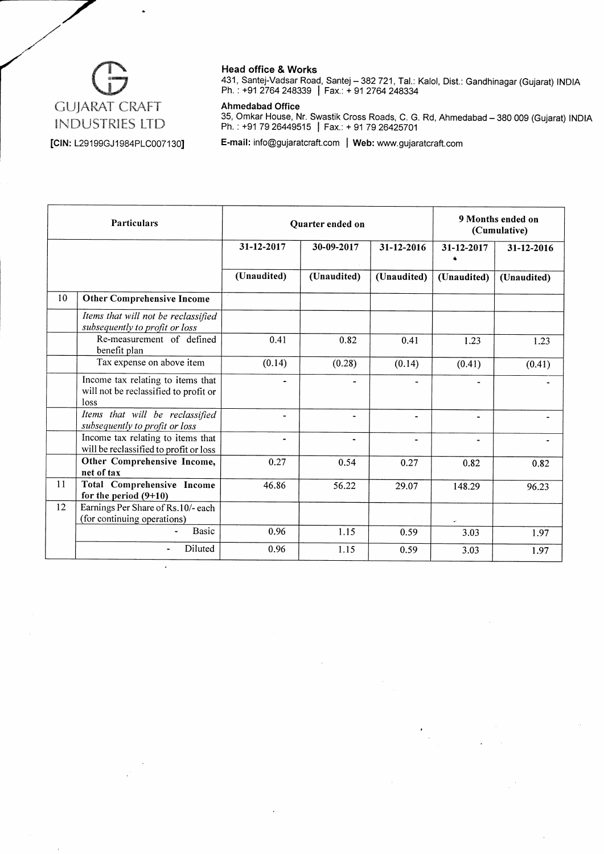

 $\cdot$ 

#### Head office & Works

431, santej-Vadsar Road, santej - 382721, Tal.: Kalol, Dist.: Gandhinagar (Gujarat) INDIA Ph. : +91 2764 248339 | Fax.: + 91 2764 248334

#### Ahmedabad Office

35, Omkar House, Nr. Swastik Cross Roads, C. G. Rd, Ahmedabad – 380 009 (Gujarat) INDIA<br>Ph. : +91 79 26449515 │ Fax.: + 91 79 26425701

E-mail: info@gujaratcraft.com | Web: www.gujaratcraft.com

|    | <b>Particulars</b>                                                                 |             | Quarter ended on |             |             | 9 Months ended on<br>(Cumulative) |
|----|------------------------------------------------------------------------------------|-------------|------------------|-------------|-------------|-----------------------------------|
|    |                                                                                    | 31-12-2017  | 30-09-2017       | 31-12-2016  | 31-12-2017  | 31-12-2016                        |
|    |                                                                                    | (Unaudited) | (Unaudited)      | (Unaudited) | (Unaudited) | (Unaudited)                       |
| 10 | <b>Other Comprehensive Income</b>                                                  |             |                  |             |             |                                   |
|    | Items that will not be reclassified<br>subsequently to profit or loss              |             |                  |             |             |                                   |
|    | Re-measurement of defined<br>benefit plan                                          | 0.41        | 0.82             | 0.41        | 1.23        | 1.23                              |
|    | Tax expense on above item                                                          | (0.14)      | (0.28)           | (0.14)      | (0.41)      | (0.41)                            |
|    | Income tax relating to items that<br>will not be reclassified to profit or<br>loss |             |                  |             |             |                                   |
|    | Items that will be reclassified<br>subsequently to profit or loss                  | ۰           | $\blacksquare$   |             | -           |                                   |
|    | Income tax relating to items that<br>will be reclassified to profit or loss        | ۰           | -                | -           | -           |                                   |
|    | Other Comprehensive Income,<br>net of tax                                          | 0.27        | 0.54             | 0.27        | 0.82        | 0.82                              |
| 11 | <b>Total Comprehensive Income</b><br>for the period $(9+10)$                       | 46.86       | 56.22            | 29.07       | 148.29      | 96.23                             |
| 12 | Earnings Per Share of Rs.10/- each<br>(for continuing operations)                  |             |                  |             |             |                                   |
|    | <b>Basic</b>                                                                       | 0.96        | 1.15             | 0.59        | 3.03        | 1.97                              |
|    | Diluted                                                                            | 0.96        | 1.15             | 0.59        | 3.03        | 1.97                              |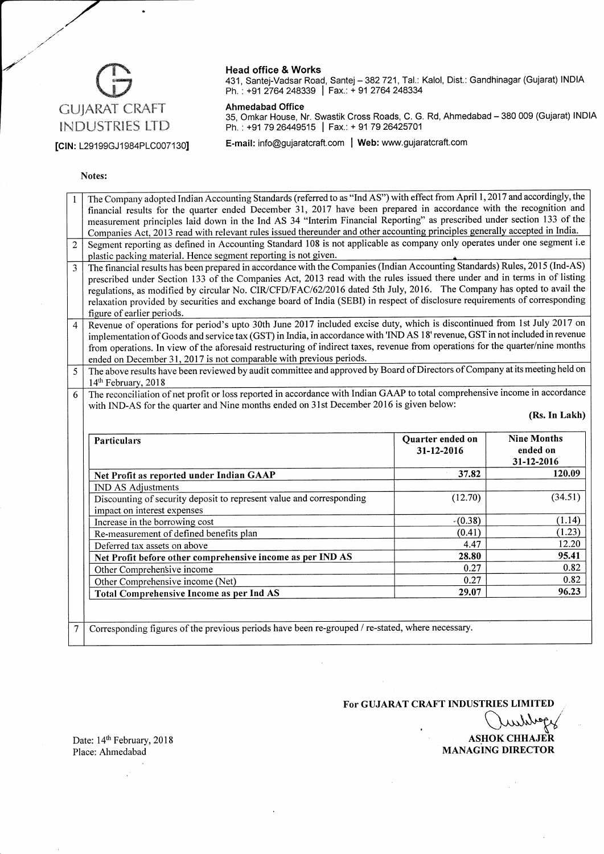# GUJARAT CRAFT INDUSTRIES LTD

#### Head office & Works

431, Santej-Vadsar Road, Santej- 382721, Tal.: Kalol, Dist.: Gandhinagar (Gujarat) INDIA Ph. : +91 2764 248339 <mark>| Fax.: + 91 2764 248334</mark>

#### Ahmedabad Office

35, Omkar House, Nr. Swastik Cross Roads, C. G. Rd, Ahmedabad – 380 009 (Gujarat) INDIA<br>Ph. : +91 79 26449515 | Fax.: + 91 79 26425701

[CIN: L29199GJ1984PLC007130] E-mail: info@gujaratcraft.com | Web: www.gujaratcraft.com

#### Notes:

| financial results for the quarter ended December 31, 2017 have been prepared in accordance with the recognition and<br>measurement principles laid down in the Ind AS 34 "Interim Financial Reporting" as prescribed under section 133 of the<br>Companies Act, 2013 read with relevant rules issued thereunder and other accounting principles generally accepted in India.<br>Segment reporting as defined in Accounting Standard 108 is not applicable as company only operates under one segment i.e<br>$\overline{2}$ |               |  |  |  |  |  |  |
|----------------------------------------------------------------------------------------------------------------------------------------------------------------------------------------------------------------------------------------------------------------------------------------------------------------------------------------------------------------------------------------------------------------------------------------------------------------------------------------------------------------------------|---------------|--|--|--|--|--|--|
|                                                                                                                                                                                                                                                                                                                                                                                                                                                                                                                            |               |  |  |  |  |  |  |
|                                                                                                                                                                                                                                                                                                                                                                                                                                                                                                                            |               |  |  |  |  |  |  |
|                                                                                                                                                                                                                                                                                                                                                                                                                                                                                                                            |               |  |  |  |  |  |  |
|                                                                                                                                                                                                                                                                                                                                                                                                                                                                                                                            |               |  |  |  |  |  |  |
| plastic packing material. Hence segment reporting is not given.                                                                                                                                                                                                                                                                                                                                                                                                                                                            |               |  |  |  |  |  |  |
| The financial results has been prepared in accordance with the Companies (Indian Accounting Standards) Rules, 2015 (Ind-AS)<br>$\overline{3}$                                                                                                                                                                                                                                                                                                                                                                              |               |  |  |  |  |  |  |
| prescribed under Section 133 of the Companies Act, 2013 read with the rules issued there under and in terms in of listing                                                                                                                                                                                                                                                                                                                                                                                                  |               |  |  |  |  |  |  |
| regulations, as modified by circular No. CIR/CFD/FAC/62/2016 dated 5th July, 2016. The Company has opted to avail the                                                                                                                                                                                                                                                                                                                                                                                                      |               |  |  |  |  |  |  |
| relaxation provided by securities and exchange board of India (SEBI) in respect of disclosure requirements of corresponding                                                                                                                                                                                                                                                                                                                                                                                                |               |  |  |  |  |  |  |
| figure of earlier periods.                                                                                                                                                                                                                                                                                                                                                                                                                                                                                                 |               |  |  |  |  |  |  |
| Revenue of operations for period's upto 30th June 2017 included excise duty, which is discontinued from 1st July 2017 on<br>$\overline{4}$                                                                                                                                                                                                                                                                                                                                                                                 |               |  |  |  |  |  |  |
| implementation of Goods and service tax (GST) in India, in accordance with 'IND AS 18' revenue, GST in not included in revenue                                                                                                                                                                                                                                                                                                                                                                                             |               |  |  |  |  |  |  |
| from operations. In view of the aforesaid restructuring of indirect taxes, revenue from operations for the quarter/nine months                                                                                                                                                                                                                                                                                                                                                                                             |               |  |  |  |  |  |  |
| ended on December 31, 2017 is not comparable with previous periods.                                                                                                                                                                                                                                                                                                                                                                                                                                                        |               |  |  |  |  |  |  |
| The above results have been reviewed by audit committee and approved by Board of Directors of Company at its meeting held on<br>5                                                                                                                                                                                                                                                                                                                                                                                          |               |  |  |  |  |  |  |
| 14th February, 2018<br>6                                                                                                                                                                                                                                                                                                                                                                                                                                                                                                   |               |  |  |  |  |  |  |
| The reconciliation of net profit or loss reported in accordance with Indian GAAP to total comprehensive income in accordance                                                                                                                                                                                                                                                                                                                                                                                               |               |  |  |  |  |  |  |
| with IND-AS for the quarter and Nine months ended on 31st December 2016 is given below:                                                                                                                                                                                                                                                                                                                                                                                                                                    |               |  |  |  |  |  |  |
|                                                                                                                                                                                                                                                                                                                                                                                                                                                                                                                            | (Rs. In Lakh) |  |  |  |  |  |  |
|                                                                                                                                                                                                                                                                                                                                                                                                                                                                                                                            |               |  |  |  |  |  |  |
|                                                                                                                                                                                                                                                                                                                                                                                                                                                                                                                            |               |  |  |  |  |  |  |
| <b>Nine Months</b><br>Quarter ended on<br><b>Particulars</b>                                                                                                                                                                                                                                                                                                                                                                                                                                                               |               |  |  |  |  |  |  |
| ended on<br>31-12-2016                                                                                                                                                                                                                                                                                                                                                                                                                                                                                                     |               |  |  |  |  |  |  |
| 31-12-2016                                                                                                                                                                                                                                                                                                                                                                                                                                                                                                                 | 120.09        |  |  |  |  |  |  |
| 37.82<br>Net Profit as reported under Indian GAAP                                                                                                                                                                                                                                                                                                                                                                                                                                                                          |               |  |  |  |  |  |  |
| <b>IND AS Adjustments</b>                                                                                                                                                                                                                                                                                                                                                                                                                                                                                                  | (34.51)       |  |  |  |  |  |  |
| (12.70)<br>Discounting of security deposit to represent value and corresponding                                                                                                                                                                                                                                                                                                                                                                                                                                            |               |  |  |  |  |  |  |
| impact on interest expenses<br>$-(0.38)$                                                                                                                                                                                                                                                                                                                                                                                                                                                                                   | (1.14)        |  |  |  |  |  |  |
| Increase in the borrowing cost<br>(0.41)<br>Re-measurement of defined benefits plan                                                                                                                                                                                                                                                                                                                                                                                                                                        | (1.23)        |  |  |  |  |  |  |
| 4.47<br>Deferred tax assets on above                                                                                                                                                                                                                                                                                                                                                                                                                                                                                       | 12.20         |  |  |  |  |  |  |
| 28.80                                                                                                                                                                                                                                                                                                                                                                                                                                                                                                                      | 95.41         |  |  |  |  |  |  |
| Net Profit before other comprehensive income as per IND AS<br>0.27<br>Other Comprehensive income                                                                                                                                                                                                                                                                                                                                                                                                                           | 0.82          |  |  |  |  |  |  |
| 0.27<br>Other Comprehensive income (Net)                                                                                                                                                                                                                                                                                                                                                                                                                                                                                   | 0.82          |  |  |  |  |  |  |
| 29.07<br><b>Total Comprehensive Income as per Ind AS</b>                                                                                                                                                                                                                                                                                                                                                                                                                                                                   | 96.23         |  |  |  |  |  |  |
|                                                                                                                                                                                                                                                                                                                                                                                                                                                                                                                            |               |  |  |  |  |  |  |
| Corresponding figures of the previous periods have been re-grouped / re-stated, where necessary.                                                                                                                                                                                                                                                                                                                                                                                                                           |               |  |  |  |  |  |  |

For GUJARAT CRAFT INDUSTRIES LIMITED

**ASHOK CHHAJER** 

MANAGING DIRECTOR

Date: 14th February, 2018 Place: Ahmedabad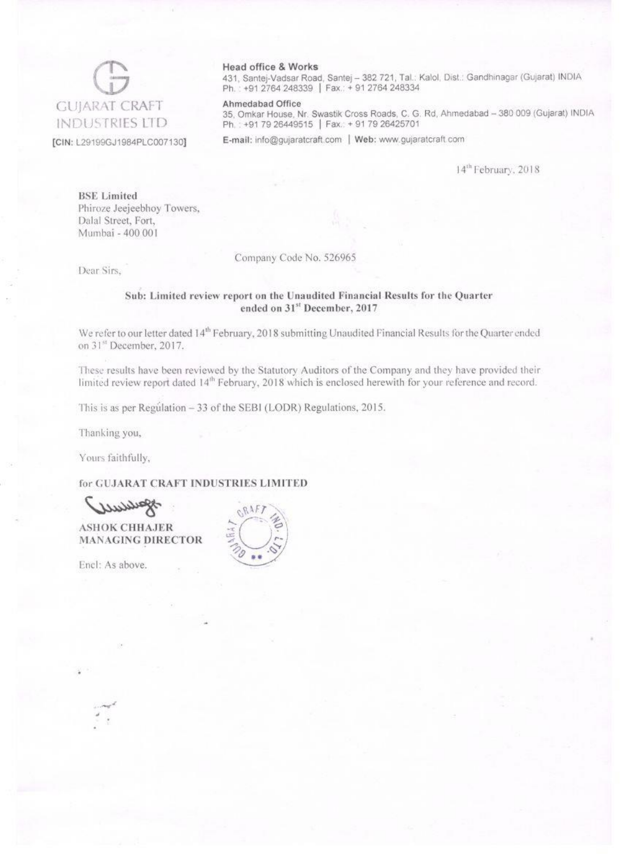

#### Head office & Works

431, Santej-Vadsar Road, Santej - 382 721, Tal.: Kalol, Dist.: Gandhinagar (Gujarat) INDIA Ph.: +91 2764 248339 | Fax: + 91 2764 248334

#### Ahmedabad Office

35, Omkar House, Nr. Swastik Cross Roads, C. G. Rd, Ahmedabad - 380 009 (Gujarat) INDIA Ph.: +91 79 26449515 | Fax: + 91 79 26425701

E-mail: info@qujaratcraft.com | Web: www.gujaratcraft.com

14<sup>th</sup> February, 2018

**BSE** Limited Phiroze Jeejeebhoy Towers, Dalal Street, Fort, Mumbai - 400 001

Company Code No. 526965

Dear Sirs.

#### Sub: Limited review report on the Unaudited Financial Results for the Quarter ended on 31st December, 2017

We refer to our letter dated 14<sup>th</sup> February, 2018 submitting Unaudited Financial Results for the Quarter ended on 31<sup>st</sup> December, 2017.

These results have been reviewed by the Statutory Auditors of the Company and they have provided their limited review report dated 14<sup>th</sup> February, 2018 which is enclosed herewith for your reference and record.

This is as per Regulation - 33 of the SEBI (LODR) Regulations, 2015.

Thanking you,

Yours faithfully,

for GUJARAT CRAFT INDUSTRIES LIMITED

**ASHOK CHHAJER MANAGING DIRECTOR** 

Encl: As above.

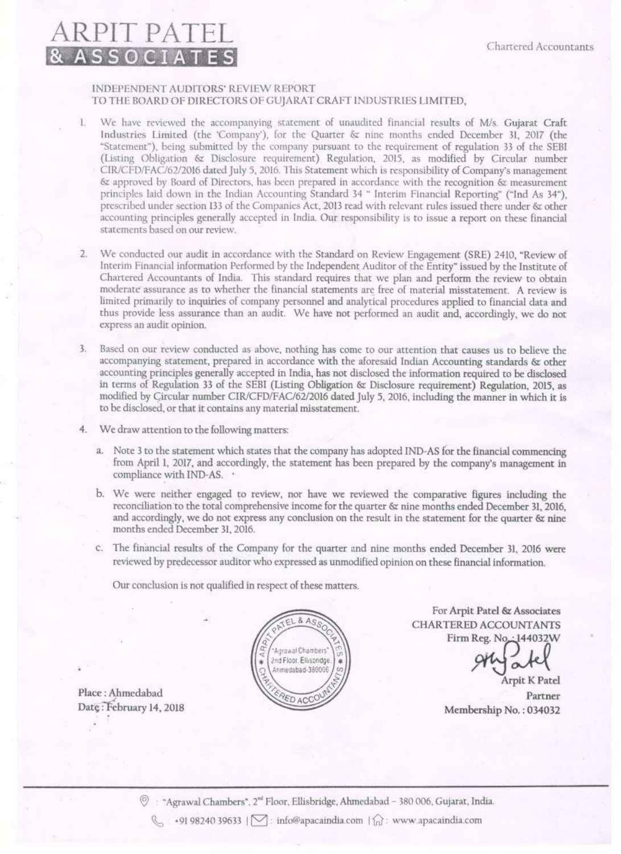### RPIT PAT & ASSOCIATES

#### INDEPENDENT AUDITORS' REVIEW REPORT TO THE BOARD OF DIRECTORS OF GUJARAT CRAFT INDUSTRIES LIMITED.

- We have reviewed the accompanying statement of unaudited financial results of M/s. Gujarat Craft Industries Limited (the 'Company'), for the Quarter & nine months ended December 31, 2017 (the "Statement"), being submitted by the company pursuant to the requirement of regulation 33 of the SEBI (Listing Obligation & Disclosure requirement) Regulation, 2015, as modified by Circular number CIR/CFD/FAC/62/2016 dated July 5, 2016. This Statement which is responsibility of Company's management & approved by Board of Directors, has been prepared in accordance with the recognition & measurement principles laid down in the Indian Accounting Standard 34 " Interim Financial Reporting" ("Ind As 34"), prescribed under section 133 of the Companies Act, 2013 read with relevant rules issued there under & other accounting principles generally accepted in India. Our responsibility is to issue a report on these financial statements hased on our review.
- 2. We conducted our audit in accordance with the Standard on Review Engagement (SRE) 2410, "Review of Interim Financial information Performed by the Independent Auditor of the Entity" issued by the Institute of Chartered Accountants of India. This standard requires that we plan and perform the review to obtain moderate assurance as to whether the financial statements are free of material misstatement. A review is limited primarily to inquiries of company personnel and analytical procedures applied to financial data and thus provide less assurance than an audit. We have not performed an audit and, accordingly, we do not express an audit opinion.
- Based on our review conducted as above, nothing has come to our attention that causes us to believe the  $\overline{3}$ accompanying statement, prepared in accordance with the aforesaid Indian Accounting standards & other accounting principles generally accepted in India, has not disclosed the information required to be disclosed in terms of Regulation 33 of the SEBI (Listing Obligation & Disclosure requirement) Regulation, 2015, as modified by Circular number CIR/CFD/FAC/62/2016 dated July 5, 2016, including the manner in which it is to be disclosed, or that it contains any material misstatement.
- We draw attention to the following matters:
	- a. Note 3 to the statement which states that the company has adopted IND-AS for the financial commencing from April 1, 2017, and accordingly, the statement has been prepared by the company's management in compliance with IND-AS. .
	- b. We were neither engaged to review, nor have we reviewed the comparative figures including the reconciliation to the total comprehensive income for the quarter & nine months ended December 31, 2016. and accordingly, we do not express any conclusion on the result in the statement for the quarter & nine months ended December 31, 2016.
	- c. The financial results of the Company for the quarter and nine months ended December 31, 2016 were reviewed by predecessor auditor who expressed as unmodified opinion on these financial information.

Our conclusion is not qualified in respect of these matters.



For Arpit Patel & Associates CHARTERED ACCOUNTANTS Firm Reg. No.

**Arpit K Patel** Partner Membership No.: 034032

Place: Ahmedabad Date: February 14, 2018

<sup>7</sup> Agrawal Chambers", 2<sup>nd</sup> Floor, Ellisbridge, Ahmedabad - 380 006, Gujarat, India.

 $\mathcal{L}$  +91 98240 39633 |  $\mathcal{L}$ : info@apacaindia.com |  $\hat{L}$ : www.apacaindia.com